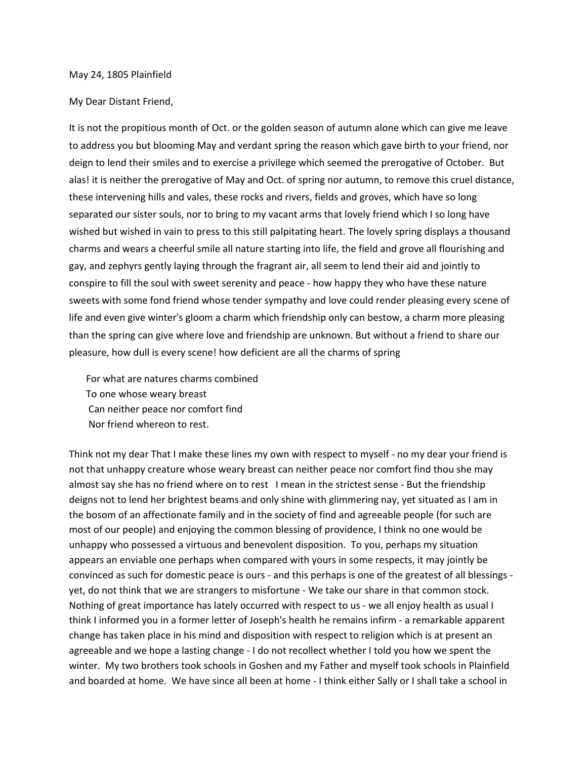## May 24, 1805 Plainfield

## My Dear Distant Friend,

It is not the propitious month of Oct. or the golden season of autumn alone which can give me leave to address you but blooming May and verdant spring the reason which gave birth to your friend, nor deign to lend their smiles and to exercise a privilege which seemed the prerogative of October. But alas! it is neither the prerogative of May and Oct. of spring nor autumn, to remove this cruel distance, these intervening hills and vales, these rocks and rivers, fields and groves, which have so long separated our sister souls, nor to bring to my vacant arms that lovely friend which I so long have wished but wished in vain to press to this still palpitating heart. The lovely spring displays a thousand charms and wears a cheerful smile all nature starting into life, the field and grove all flourishing and gay, and zephyrs gently laying through the fragrant air, all seem to lend their aid and jointly to conspire to fill the soul with sweet serenity and peace - how happy they who have these nature sweets with some fond friend whose tender sympathy and love could render pleasing every scene of life and even give winter's gloom a charm which friendship only can bestow, a charm more pleasing than the spring can give where love and friendship are unknown. But without a friend to share our pleasure, how dull is every scene! how deficient are all the charms of spring

For what are natures charms combined To one whose weary breast Can neither peace nor comfort find Nor friend whereon to rest.

Think not my dear That I make these lines my own with respect to myself - no my dear your friend is not that unhappy creature whose weary breast can neither peace nor comfort find thou she may almost say she has no friend where on to rest I mean in the strictest sense - But the friendship deigns not to lend her brightest beams and only shine with glimmering nay, yet situated as I am in the bosom of an affectionate family and in the society of find and agreeable people (for such are most of our people) and enjoying the common blessing of providence, I think no one would be unhappy who possessed a virtuous and benevolent disposition. To you, perhaps my situation appears an enviable one perhaps when compared with yours in some respects, it may jointly be convinced as such for domestic peace is ours - and this perhaps is one of the greatest of all blessings yet, do not think that we are strangers to misfortune - We take our share in that common stock. Nothing of great importance has lately occurred with respect to us - we all enjoy health as usual I think I informed you in a former letter of Joseph's health he remains infirm - a remarkable apparent change has taken place in his mind and disposition with respect to religion which is at present an agreeable and we hope a lasting change - I do not recollect whether I told you how we spent the winter. My two brothers took schools in Goshen and my Father and myself took schools in Plainfield and boarded at home. We have since all been at home - I think either Sally or I shall take a school in